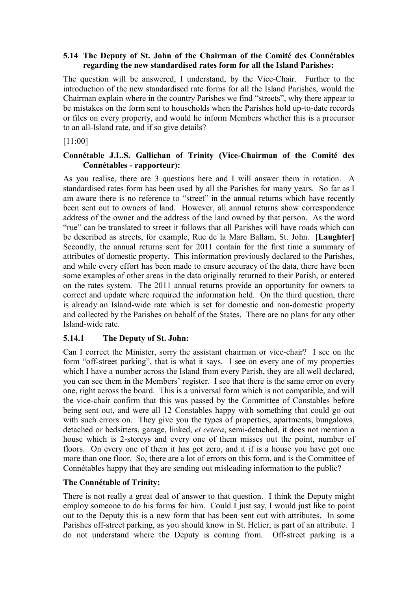#### **5.14 The Deputy of St. John of the Chairman of the Comité des Connétables regarding the new standardised rates form for all the Island Parishes:**

The question will be answered, I understand, by the Vice-Chair. Further to the introduction of the new standardised rate forms for all the Island Parishes, would the Chairman explain where in the country Parishes we find "streets", why there appear to be mistakes on the form sent to households when the Parishes hold up-to-date records or files on every property, and would he inform Members whether this is a precursor to an all-Island rate, and if so give details?

[11:00]

### **Connétable J.L.S. Gallichan of Trinity (Vice-Chairman of the Comité des Connétables - rapporteur):**

 be described as streets, for example, Rue de la Mare Ballam, St. John. **[Laughter]** As you realise, there are 3 questions here and I will answer them in rotation. A standardised rates form has been used by all the Parishes for many years. So far as I am aware there is no reference to "street" in the annual returns which have recently been sent out to owners of land. However, all annual returns show correspondence address of the owner and the address of the land owned by that person. As the word "rue" can be translated to street it follows that all Parishes will have roads which can Secondly, the annual returns sent for 2011 contain for the first time a summary of attributes of domestic property. This information previously declared to the Parishes, and while every effort has been made to ensure accuracy of the data, there have been some examples of other areas in the data originally returned to their Parish, or entered on the rates system. The 2011 annual returns provide an opportunity for owners to correct and update where required the information held. On the third question, there is already an Island-wide rate which is set for domestic and non-domestic property and collected by the Parishes on behalf of the States. There are no plans for any other Island-wide rate.

### **5.14.1 The Deputy of St. John:**

Can I correct the Minister, sorry the assistant chairman or vice-chair? I see on the form "off-street parking", that is what it says. I see on every one of my properties which I have a number across the Island from every Parish, they are all well declared, you can see them in the Members' register. I see that there is the same error on every one, right across the board. This is a universal form which is not compatible, and will the vice-chair confirm that this was passed by the Committee of Constables before being sent out, and were all 12 Constables happy with something that could go out with such errors on. They give you the types of properties, apartments, bungalows, detached or bedsitters, garage, linked, *et cetera*, semi-detached, it does not mention a house which is 2-storeys and every one of them misses out the point, number of floors. On every one of them it has got zero, and it if is a house you have got one more than one floor. So, there are a lot of errors on this form, and is the Committee of Connétables happy that they are sending out misleading information to the public?

### **The Connétable of Trinity:**

 do not understand where the Deputy is coming from. Off-street parking is a There is not really a great deal of answer to that question. I think the Deputy might employ someone to do his forms for him. Could I just say, I would just like to point out to the Deputy this is a new form that has been sent out with attributes. In some Parishes off-street parking, as you should know in St. Helier, is part of an attribute. I